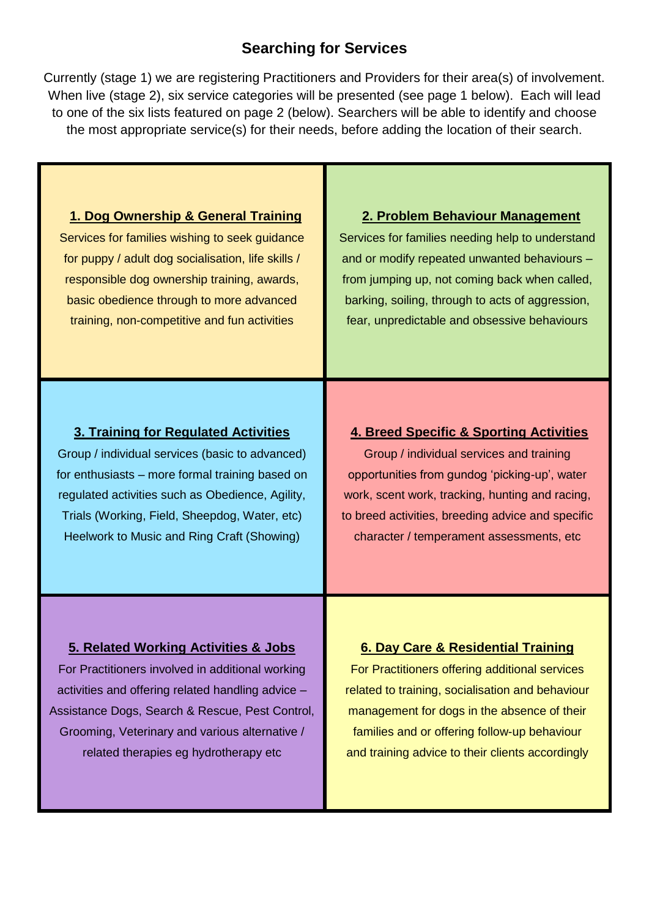# **Searching for Services**

Currently (stage 1) we are registering Practitioners and Providers for their area(s) of involvement. When live (stage 2), six service categories will be presented (see page 1 below). Each will lead to one of the six lists featured on page 2 (below). Searchers will be able to identify and choose the most appropriate service(s) for their needs, before adding the location of their search.

## **1. Dog Ownership & General Training**

Services for families wishing to seek guidance for puppy / adult dog socialisation, life skills / responsible dog ownership training, awards, basic obedience through to more advanced training, non-competitive and fun activities

### **2. Problem Behaviour Management**

Services for families needing help to understand and or modify repeated unwanted behaviours – from jumping up, not coming back when called, barking, soiling, through to acts of aggression, fear, unpredictable and obsessive behaviours

## **3. Training for Regulated Activities**

Group / individual services (basic to advanced) for enthusiasts – more formal training based on regulated activities such as Obedience, Agility, Trials (Working, Field, Sheepdog, Water, etc) Heelwork to Music and Ring Craft (Showing)

### **4. Breed Specific & Sporting Activities**

Group / individual services and training opportunities from gundog 'picking-up', water work, scent work, tracking, hunting and racing, to breed activities, breeding advice and specific character / temperament assessments, etc

### **5. Related Working Activities & Jobs**

For Practitioners involved in additional working activities and offering related handling advice – Assistance Dogs, Search & Rescue, Pest Control, Grooming, Veterinary and various alternative / related therapies eg hydrotherapy etc

**6. Day Care & Residential Training** For Practitioners offering additional services related to training, socialisation and behaviour management for dogs in the absence of their families and or offering follow-up behaviour and training advice to their clients accordingly